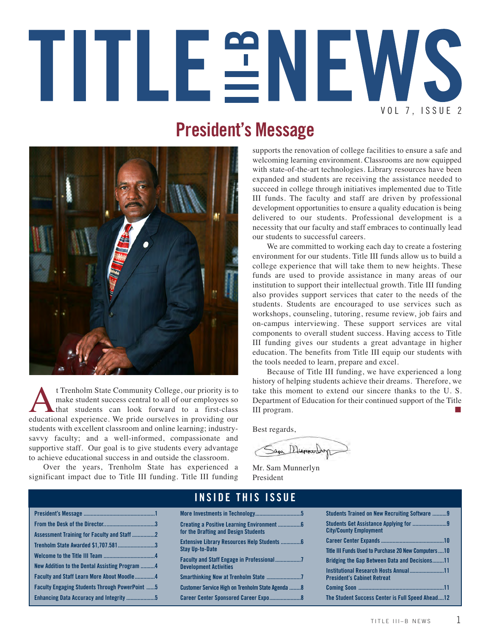# TITLEENEWS VOL 7, ISSUE 2

#### **President's Message**



t Trenholm State Community College, our priority is to<br>make student success central to all of our employees so<br>that students can look forward to a first-class<br>educational experience. We pride ourselves in providing our make student success central to all of our employees so that students can look forward to a first-class educational experience. We pride ourselves in providing our students with excellent classroom and online learning; industrysavvy faculty; and a well-informed, compassionate and supportive staff. Our goal is to give students every advantage to achieve educational success in and outside the classroom.

Over the years, Trenholm State has experienced a significant impact due to Title III funding. Title III funding supports the renovation of college facilities to ensure a safe and welcoming learning environment. Classrooms are now equipped with state-of-the-art technologies. Library resources have been expanded and students are receiving the assistance needed to succeed in college through initiatives implemented due to Title III funds. The faculty and staff are driven by professional development opportunities to ensure a quality education is being delivered to our students. Professional development is a necessity that our faculty and staff embraces to continually lead our students to successful careers.

We are committed to working each day to create a fostering environment for our students. Title III funds allow us to build a college experience that will take them to new heights. These funds are used to provide assistance in many areas of our institution to support their intellectual growth. Title III funding also provides support services that cater to the needs of the students. Students are encouraged to use services such as workshops, counseling, tutoring, resume review, job fairs and on-campus interviewing. These support services are vital components to overall student success. Having access to Title III funding gives our students a great advantage in higher education. The benefits from Title III equip our students with the tools needed to learn, prepare and excel.

Because of Title III funding, we have experienced a long history of helping students achieve their dreams. Therefore, we take this moment to extend our sincere thanks to the U. S. Department of Education for their continued support of the Title III program.

Best regards,

Sam Munnerboy

Mr. Sam Munnerlyn President

|                                                       |                                                  | Students Trained on New Recruiting Software 9         |
|-------------------------------------------------------|--------------------------------------------------|-------------------------------------------------------|
|                                                       |                                                  |                                                       |
| Assessment Training for Faculty and Staff 2           | for the Drafting and Design Students             | <b>City/County Employment</b>                         |
|                                                       |                                                  |                                                       |
| Trenholm State Awarded \$1,707.5813                   | <b>Stay Up-to-Date</b>                           | Title III Funds Used to Purchase 20 New Computers  10 |
|                                                       |                                                  |                                                       |
| New Addition to the Dental Assisting Program 4        |                                                  | <b>Bridging the Gap Between Data and Decisions11</b>  |
|                                                       | <b>Development Activities</b>                    | <b>Institutional Research Hosts Annual11</b>          |
| <b>Faculty and Staff Learn More About Moodle4</b>     |                                                  | <b>President's Cabinet Retreat</b>                    |
| <b>Faculty Engaging Students Through PowerPoint 5</b> | Customer Service High on Trenholm State Agenda 8 |                                                       |
|                                                       |                                                  |                                                       |
| Enhancing Data Accuracy and Integrity 5               |                                                  | The Student Success Center is Full Speed Ahead12      |

#### **I N S I D E T H I S I S S U E**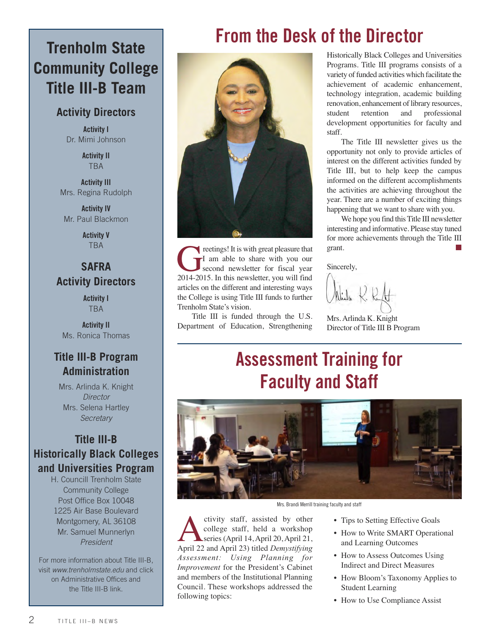#### **Trenholm State Community College Title III-B Team**

#### **Activity Directors**

**Activity I**  Dr. Mimi Johnson

> **Activity II** TBA

**Activity III** Mrs. Regina Rudolph

**Activity IV** Mr. Paul Blackmon

> **Activity V** TBA

#### **SAFRA Activity Directors**

**Activity I**  TBA

**Activity II** Ms. Ronica Thomas

#### **Title III-B Program Administration**

Mrs. Arlinda K. Knight *Director* Mrs. Selena Hartley *Secretary*

#### **Title III-B Historically Black Colleges and Universities Program**

H. Councill Trenholm State Community College Post Office Box 10048 1225 Air Base Boulevard Montgomery, AL 36108 Mr. Samuel Munnerlyn *President*

For more information about Title III-B, visit *www.trenholmstate.edu* and click on Administrative Offices and the Title III-B link.

# **From the Desk of the Director**



The reetings! It is with great pleasure that<br>
I am able to share with you our<br>
2014-2015. In this newsletter, you will find I am able to share with you our second newsletter for fiscal year articles on the different and interesting ways the College is using Title III funds to further Trenholm State's vision.

Title III is funded through the U.S. Department of Education, Strengthening Historically Black Colleges and Universities Programs. Title III programs consists of a variety of funded activities which facilitate the achievement of academic enhancement, technology integration, academic building renovation, enhancement of library resources, student retention and professional development opportunities for faculty and staff.

The Title III newsletter gives us the opportunity not only to provide articles of interest on the different activities funded by Title III, but to help keep the campus informed on the different accomplishments the activities are achieving throughout the year. There are a number of exciting things happening that we want to share with you.

We hope you find this Title III newsletter interesting and informative. Please stay tuned for more achievements through the Title III grant.

Sincerely,

Mrs. Arlinda K. Knight Director of Title III B Program

# **Assessment Training for Faculty and Staff**



Mrs. Brandi Merrill training faculty and staff

ctivity staff, assisted by other<br>college staff, held a workshop<br>series (April 14, April 20, April 21,<br>April 22 and April 23) titled Demystifying college staff, held a workshop series (April 14, April 20, April 21, April 22 and April 23) titled *Demystifying Assessment: Using Planning for Improvement* for the President's Cabinet and members of the Institutional Planning Council. These workshops addressed the following topics:

- Tips to Setting Effective Goals
- How to Write SMART Operational and Learning Outcomes
- How to Assess Outcomes Using Indirect and Direct Measures
- How Bloom's Taxonomy Applies to Student Learning
- How to Use Compliance Assist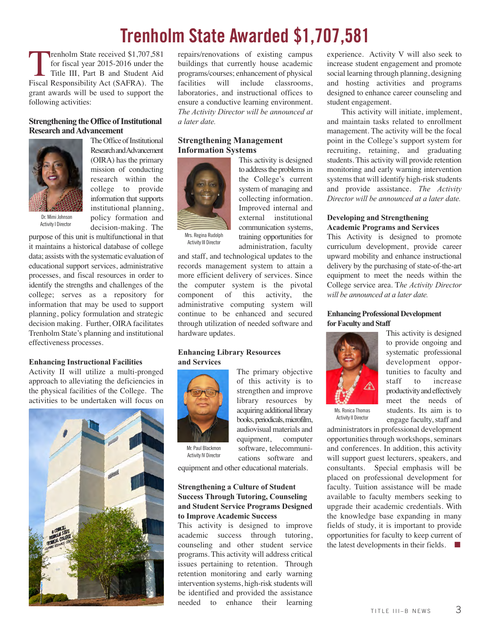### **Trenholm State Awarded \$1,707,581**

Trenholm State received \$1,707,581 for fiscal year 2015-2016 under the Title III, Part B and Student Aid Fiscal Responsibility Act (SAFRA). The grant awards will be used to support the following activities:

#### **Strengthening the Office of Institutional Research and Advancement**



Research and Advancement (OIRA) has the primary mission of conducting research within the college to provide information that supports institutional planning, policy formation and decision-making. The

The Office of Institutional

purpose of this unit is multifunctional in that it maintains a historical database of college data; assists with the systematic evaluation of educational support services, administrative processes, and fiscal resources in order to identify the strengths and challenges of the college; serves as a repository for information that may be used to support planning, policy formulation and strategic decision making. Further, OIRA facilitates Trenholm State's planning and institutional effectiveness processes.

#### **Enhancing Instructional Facilities**

Activity II will utilize a multi-pronged approach to alleviating the deficiencies in the physical facilities of the College. The activities to be undertaken will focus on



repairs/renovations of existing campus buildings that currently house academic programs/courses; enhancement of physical facilities will include classrooms, laboratories, and instructional offices to ensure a conductive learning environment. *The Activity Director will be announced at a later date.*

#### **Strengthening Management Information Systems**



This activity is designed to address the problems in the College's current system of managing and collecting information. Improved internal and external institutional communication systems, training opportunities for administration, faculty

Activity III Director

and staff, and technological updates to the records management system to attain a more efficient delivery of services. Since the computer system is the pivotal component of this activity, the administrative computing system will continue to be enhanced and secured through utilization of needed software and hardware updates.

#### **Enhancing Library Resources and Services**



Activity IV Director

The primary objective of this activity is to strengthen and improve library resources by acquiring additional library books, periodicals, microfilm, audiovisual materials and equipment, computer software, telecommunications software and

equipment and other educational materials.

#### **Strengthening a Culture of Student Success Through Tutoring, Counseling and Student Service Programs Designed to Improve Academic Success**

This activity is designed to improve academic success through tutoring, counseling and other student service programs. This activity will address critical issues pertaining to retention. Through retention monitoring and early warning intervention systems, high-risk students will be identified and provided the assistance needed to enhance their learning experience. Activity V will also seek to increase student engagement and promote social learning through planning, designing and hosting activities and programs designed to enhance career counseling and student engagement.

This activity will initiate, implement, and maintain tasks related to enrollment management. The activity will be the focal point in the College's support system for recruiting, retaining, and graduating students. This activity will provide retention monitoring and early warning intervention systems that will identify high-risk students and provide assistance. *The Activity Director will be announced at a later date.* 

#### **Developing and Strengthening Academic Programs and Services**

This Activity is designed to promote curriculum development, provide career upward mobility and enhance instructional delivery by the purchasing of state-of-the-art equipment to meet the needs within the College service area. T*he Activity Director will be announced at a later date.*

#### **Enhancing Professional Development for Faculty and Staff**



Activity II Director

This activity is designed to provide ongoing and systematic professional development opportunities to faculty and staff to increase productivity and effectively meet the needs of students. Its aim is to engage faculty, staff and

administrators in professional development opportunities through workshops, seminars and conferences. In addition, this activity will support guest lecturers, speakers, and consultants. Special emphasis will be placed on professional development for faculty. Tuition assistance will be made available to faculty members seeking to upgrade their academic credentials. With the knowledge base expanding in many fields of study, it is important to provide opportunities for faculty to keep current of the latest developments in their fields. **■**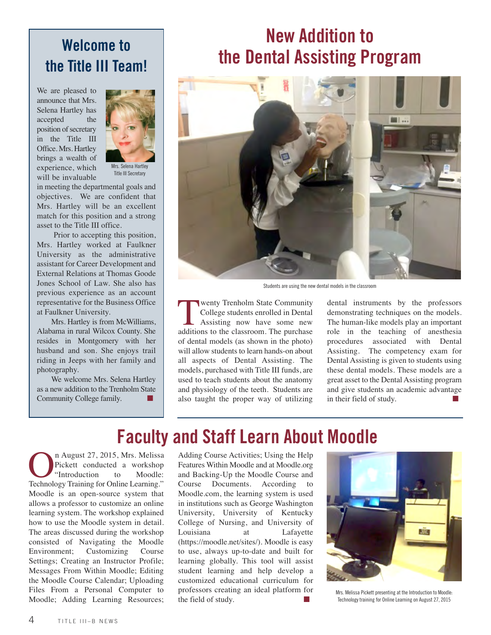#### **Welcome to the Title III Team!**

We are pleased to announce that Mrs. Selena Hartley has accepted the position of secretary in the Title III Office. Mrs. Hartley brings a wealth of experience, which will be invaluable



Title III Secretary

in meeting the departmental goals and objectives. We are confident that Mrs. Hartley will be an excellent match for this position and a strong asset to the Title III office.

Prior to accepting this position, Mrs. Hartley worked at Faulkner University as the administrative assistant for Career Development and External Relations at Thomas Goode Jones School of Law. She also has previous experience as an account representative for the Business Office at Faulkner University.

Mrs. Hartley is from McWilliams, Alabama in rural Wilcox County. She resides in Montgomery with her husband and son. She enjoys trail riding in Jeeps with her family and photography.

We welcome Mrs. Selena Hartley as a new addition to the Trenholm State Community College family.

## **New Addition to the Dental Assisting Program**



Students are using the new dental models in the classroom

**The Example State Community**<br>College students enrolled in Dental<br>Assisting now have some new<br>additions to the classroom. The purchase College students enrolled in Dental Assisting now have some new additions to the classroom. The purchase of dental models (as shown in the photo) will allow students to learn hands-on about all aspects of Dental Assisting. The models, purchased with Title III funds, are used to teach students about the anatomy and physiology of the teeth. Students are also taught the proper way of utilizing dental instruments by the professors demonstrating techniques on the models. The human-like models play an important role in the teaching of anesthesia procedures associated with Dental Assisting. The competency exam for Dental Assisting is given to students using these dental models. These models are a great asset to the Dental Assisting program and give students an academic advantage in their field of study. **■**

## **Faculty and Staff Learn About Moodle**

**On August 27, 2015, Mrs. Melissa**<br>Pickett conducted a workshop<br>"Introduction to Moodle:<br>Technology Training for Online Learning." Pickett conducted a workshop "Introduction to Moodle: Moodle is an open-source system that allows a professor to customize an online learning system. The workshop explained how to use the Moodle system in detail. The areas discussed during the workshop consisted of Navigating the Moodle Environment; Customizing Course Settings; Creating an Instructor Profile; Messages From Within Moodle; Editing the Moodle Course Calendar; Uploading Files From a Personal Computer to Moodle; Adding Learning Resources;

Adding Course Activities; Using the Help Features Within Moodle and at Moodle.org and Backing-Up the Moodle Course and Course Documents. According to Moodle.com, the learning system is used in institutions such as George Washington University, University of Kentucky College of Nursing, and University of Louisiana at Lafayette (https://moodle.net/sites/). Moodle is easy to use, always up-to-date and built for learning globally. This tool will assist student learning and help develop a customized educational curriculum for professors creating an ideal platform for the field of study.



Mrs. Melissa Pickett presenting at the Introduction to Moodle: Technology training for Online Learning on August 27, 2015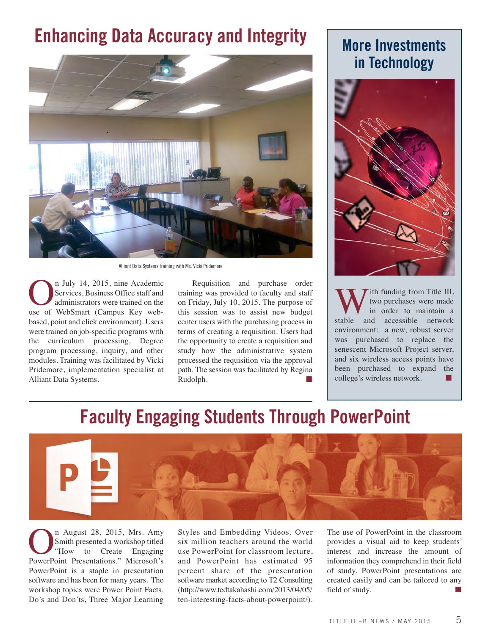# **Enhancing Data Accuracy and Integrity | More Investments**



Alliant Data Systems training with Ms. Vicki Pridemore

On July 14, 2015, nine Academic use of WebSmart (Campus Key web-Services, Business Office staff and administrators were trained on the based, point and click environment). Users were trained on job-specific programs with the curriculum processing, Degree program processing, inquiry, and other modules. Training was facilitated by Vicki Pridemore, implementation specialist at Alliant Data Systems.

Requisition and purchase order training was provided to faculty and staff on Friday, July 10, 2015. The purpose of this session was to assist new budget center users with the purchasing process in terms of creating a requisition. Users had the opportunity to create a requisition and study how the administrative system processed the requisition via the approval path. The session was facilitated by Regina Rudolph. **■**

# **in Technology**



With funding from Title III,<br>two purchases were made<br>in order to maintain a<br>stable and accessible network two purchases were made in order to maintain a and accessible network environment: a new, robust server was purchased to replace the senescent Microsoft Project server, and six wireless access points have been purchased to expand the college's wireless network.

#### **Faculty Engaging Students Through PowerPoint**



On August 28, 2015, Mrs. Amy<br>
Smith presented a workshop titled<br>
"How to Create Engaging<br>
PowerPoint Presentations." Microsoft's Smith presented a workshop titled "How to Create Engaging PowerPoint is a staple in presentation software and has been for many years. The workshop topics were Power Point Facts, Do's and Don'ts, Three Major Learning

Styles and Embedding Videos. Over six million teachers around the world use PowerPoint for classroom lecture, and PowerPoint has estimated 95 percent share of the presentation software market according to T2 Consulting (http://www.tedtakahashi.com/2013/04/05/ ten-interesting-facts-about-powerpoint/).

The use of PowerPoint in the classroom provides a visual aid to keep students' interest and increase the amount of information they comprehend in their field of study. PowerPoint presentations are created easily and can be tailored to any field of study.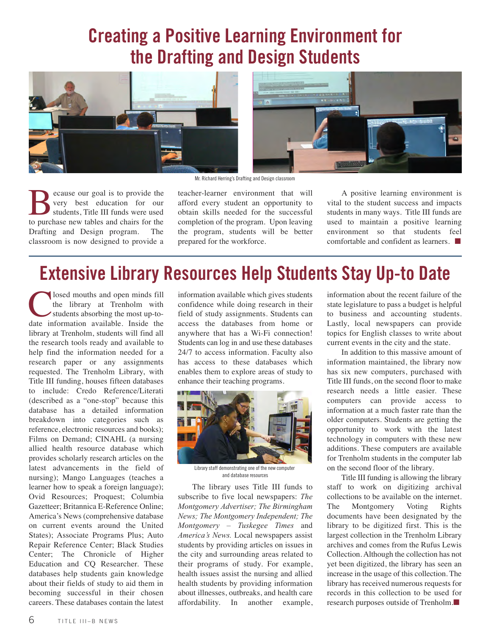### **Creating a Positive Learning Environment for the Drafting and Design Students**





Mr. Richard Herring's Drafting and Design classroom

Because our goal is to provide the<br>secure of the security set of the students, Title III funds were used<br>to purchase new tables and chairs for the very best education for our students, Title III funds were used to purchase new tables and chairs for the Drafting and Design program. The classroom is now designed to provide a

teacher-learner environment that will afford every student an opportunity to obtain skills needed for the successful completion of the program. Upon leaving the program, students will be better prepared for the workforce.

A positive learning environment is vital to the student success and impacts students in many ways. Title III funds are used to maintain a positive learning environment so that students feel comfortable and confident as learners. **■**

## **Extensive Library Resources Help Students Stay Up-to Date**

**Closed mouths and open minds fill**<br>the library at Trenholm with<br>students absorbing the most up-to-<br>date information available. Inside the the library at Trenholm with students absorbing the most up-tolibrary at Trenholm, students will find all the research tools ready and available to help find the information needed for a research paper or any assignments requested. The Trenholm Library, with Title III funding, houses fifteen databases to include: Credo Reference/Literati (described as a "one-stop" because this database has a detailed information breakdown into categories such as reference, electronic resources and books); Films on Demand; CINAHL (a nursing allied health resource database which provides scholarly research articles on the latest advancements in the field of nursing); Mango Languages (teaches a learner how to speak a foreign language); Ovid Resources; Proquest; Columbia Gazetteer; Britannica E-Reference Online; America's News (comprehensive database on current events around the United States); Associate Programs Plus; Auto Repair Reference Center; Black Studies Center; The Chronicle of Higher Education and CQ Researcher. These databases help students gain knowledge about their fields of study to aid them in becoming successful in their chosen careers. These databases contain the latest

information available which gives students confidence while doing research in their field of study assignments. Students can access the databases from home or anywhere that has a Wi-Fi connection! Students can log in and use these databases 24/7 to access information. Faculty also has access to these databases which enables them to explore areas of study to enhance their teaching programs.



Library staff demonstrating one of the new computer and database resources

The library uses Title III funds to subscribe to five local newspapers: *The Montgomery Advertiser; The Birmingham News; The Montgomery Independent; The Montgomery – Tuskegee Times* and *America's News.* Local newspapers assist students by providing articles on issues in the city and surrounding areas related to their programs of study. For example, health issues assist the nursing and allied health students by providing information about illnesses, outbreaks, and health care affordability. In another example,

information about the recent failure of the state legislature to pass a budget is helpful to business and accounting students. Lastly, local newspapers can provide topics for English classes to write about current events in the city and the state.

In addition to this massive amount of information maintained, the library now has six new computers, purchased with Title III funds, on the second floor to make research needs a little easier. These computers can provide access to information at a much faster rate than the older computers. Students are getting the opportunity to work with the latest technology in computers with these new additions. These computers are available for Trenholm students in the computer lab on the second floor of the library.

Title III funding is allowing the library staff to work on digitizing archival collections to be available on the internet. The Montgomery Voting Rights documents have been designated by the library to be digitized first. This is the largest collection in the Trenholm Library archives and comes from the Rufus Lewis Collection. Although the collection has not yet been digitized, the library has seen an increase in the usage of this collection. The library has received numerous requests for records in this collection to be used for research purposes outside of Trenholm.**■**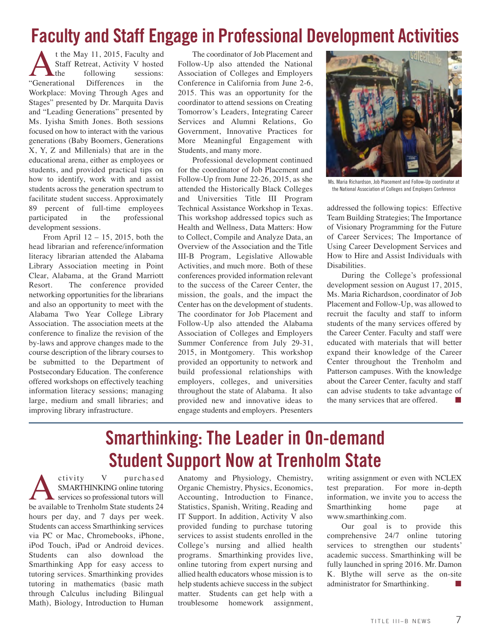### **Faculty and Staff Engage in Professional Development Activities**

t the May 11, 2015, Faculty and<br>Staff Retreat, Activity V hosted<br>the following sessions:<br>ational Differences in the Staff Retreat, Activity V hosted following "Generational Workplace: Moving Through Ages and Stages" presented by Dr. Marquita Davis and "Leading Generations" presented by Ms. Iyisha Smith Jones. Both sessions focused on how to interact with the various generations (Baby Boomers, Generations X, Y, Z and Millenials) that are in the educational arena, either as employees or students, and provided practical tips on how to identify, work with and assist students across the generation spectrum to facilitate student success. Approximately 89 percent of full-time employees participated in the professional development sessions.

From April 12 – 15, 2015, both the head librarian and reference/information literacy librarian attended the Alabama Library Association meeting in Point Clear, Alabama, at the Grand Marriott Resort. The conference provided networking opportunities for the librarians and also an opportunity to meet with the Alabama Two Year College Library Association. The association meets at the conference to finalize the revision of the by-laws and approve changes made to the course description of the library courses to be submitted to the Department of Postsecondary Education. The conference offered workshops on effectively teaching information literacy sessions; managing large, medium and small libraries; and improving library infrastructure.

The coordinator of Job Placement and Follow-Up also attended the National Association of Colleges and Employers Conference in California from June 2-6, 2015. This was an opportunity for the coordinator to attend sessions on Creating Tomorrow's Leaders, Integrating Career Services and Alumni Relations, Go Government, Innovative Practices for More Meaningful Engagement with Students, and many more.

Professional development continued for the coordinator of Job Placement and Follow-Up from June 22-26, 2015, as she attended the Historically Black Colleges and Universities Title III Program Technical Assistance Workshop in Texas. This workshop addressed topics such as Health and Wellness, Data Matters: How to Collect, Compile and Analyze Data, an Overview of the Association and the Title III-B Program, Legislative Allowable Activities, and much more. Both of these conferences provided information relevant to the success of the Career Center, the mission, the goals, and the impact the Center has on the development of students. The coordinator for Job Placement and Follow-Up also attended the Alabama Association of Colleges and Employers Summer Conference from July 29-31, 2015, in Montgomery. This workshop provided an opportunity to network and build professional relationships with employers, colleges, and universities throughout the state of Alabama. It also provided new and innovative ideas to engage students and employers. Presenters



Ms. Maria Richardson, Job Placement and Follow-Up coordinator at the National Association of Colleges and Employers Conference

addressed the following topics: Effective Team Building Strategies; The Importance of Visionary Programming for the Future of Career Services; The Importance of Using Career Development Services and How to Hire and Assist Individuals with Disabilities.

During the College's professional development session on August 17, 2015, Ms. Maria Richardson, coordinator of Job Placement and Follow-Up, was allowed to recruit the faculty and staff to inform students of the many services offered by the Career Center. Faculty and staff were educated with materials that will better expand their knowledge of the Career Center throughout the Trenholm and Patterson campuses. With the knowledge about the Career Center, faculty and staff can advise students to take advantage of the many services that are offered. **■**

## **Smarthinking: The Leader in On-demand Student Support Now at Trenholm State**

Activity V purchased<br>
SMARTHINKING online tutoring<br>
be available to Trenholm State students 24 SMARTHINKING online tutoring services so professional tutors will hours per day, and 7 days per week. Students can access Smarthinking services via PC or Mac, Chromebooks, iPhone, iPod Touch, iPad or Android devices. Students can also download the Smarthinking App for easy access to tutoring services. Smarthinking provides tutoring in mathematics (basic math through Calculus including Bilingual Math), Biology, Introduction to Human

Anatomy and Physiology, Chemistry, Organic Chemistry, Physics, Economics, Accounting, Introduction to Finance, Statistics, Spanish, Writing, Reading and IT Support. In addition, Activity V also provided funding to purchase tutoring services to assist students enrolled in the College's nursing and allied health programs. Smarthinking provides live, online tutoring from expert nursing and allied health educators whose mission is to help students achieve success in the subject matter. Students can get help with a troublesome homework assignment,

writing assignment or even with NCLEX test preparation. For more in-depth information, we invite you to access the Smarthinking home page at www.smarthinking.com.

Our goal is to provide this comprehensive 24/7 online tutoring services to strengthen our students' academic success. Smarthinking will be fully launched in spring 2016. Mr. Damon K. Blythe will serve as the on-site administrator for Smarthinking. **■**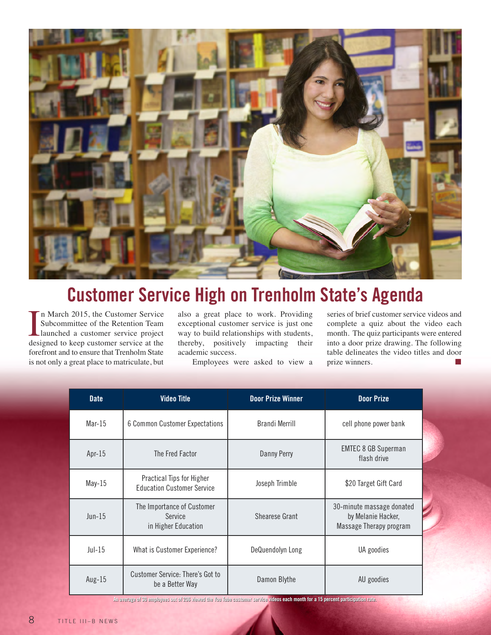

# **Customer Service High on Trenholm State's Agenda**

In March 2015, the Customer Service<br>Subcommittee of the Retention Team<br>launched a customer service project<br>designed to keep customer service at the n March 2015, the Customer Service Subcommittee of the Retention Team launched a customer service project forefront and to ensure that Trenholm State is not only a great place to matriculate, but

also a great place to work. Providing exceptional customer service is just one way to build relationships with students, thereby, positively impacting their academic success.

Employees were asked to view a

series of brief customer service videos and complete a quiz about the video each month. The quiz participants were entered into a door prize drawing. The following table delineates the video titles and door prize winners.

| <b>Date</b> | <b>Video Title</b>                                             | <b>Door Prize Winner</b> | <b>Door Prize</b>                                                          |
|-------------|----------------------------------------------------------------|--------------------------|----------------------------------------------------------------------------|
| $Mar-15$    | 6 Common Customer Expectations                                 | <b>Brandi Merrill</b>    | cell phone power bank                                                      |
| Apr- $15$   | The Fred Factor                                                | <b>Danny Perry</b>       | <b>EMTEC 8 GB Superman</b><br>flash drive                                  |
| $May-15$    | Practical Tips for Higher<br><b>Education Customer Service</b> | Joseph Trimble           | \$20 Target Gift Card                                                      |
| $Jun-15$    | The Importance of Customer<br>Service<br>in Higher Education   | Shearese Grant           | 30-minute massage donated<br>by Melanie Hacker,<br>Massage Therapy program |
| $Jul-15$    | What is Customer Experience?                                   | DeQuendolyn Long         | UA goodies                                                                 |
| Aug- $15$   | <b>Customer Service: There's Got to</b><br>be a Better Way     | Damon Blythe             | AU goodies                                                                 |

An average of 30 employees out of 206 viewed the You Tube customer service videos each month for a 15 percent participation rate.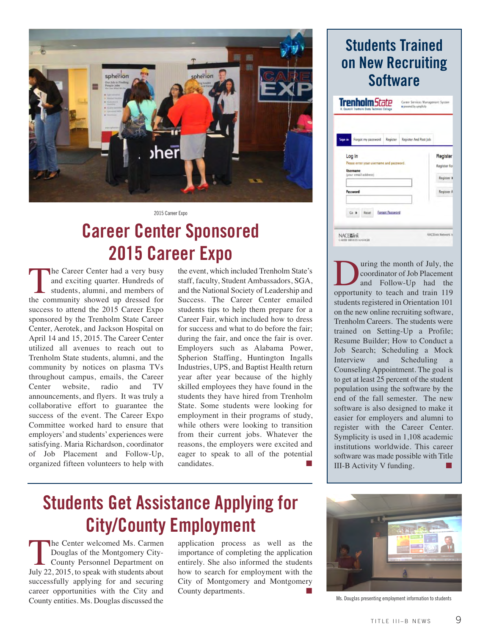

2015 Career Expo

## **Career Center Sponsored 2015 Career Expo**

The Career Center had a very busy<br>and exciting quarter. Hundreds of<br>students, alumni, and members of<br>the community showed up dressed for and exciting quarter. Hundreds of students, alumni, and members of success to attend the 2015 Career Expo sponsored by the Trenholm State Career Center, Aerotek, and Jackson Hospital on April 14 and 15, 2015. The Career Center utilized all avenues to reach out to Trenholm State students, alumni, and the community by notices on plasma TVs throughout campus, emails, the Career Center website, radio and TV announcements, and flyers. It was truly a collaborative effort to guarantee the success of the event. The Career Expo Committee worked hard to ensure that employers' and students' experiences were satisfying. Maria Richardson, coordinator of Job Placement and Follow-Up, organized fifteen volunteers to help with

the event, which included Trenholm State's staff, faculty, Student Ambassadors, SGA, and the National Society of Leadership and Success. The Career Center emailed students tips to help them prepare for a Career Fair, which included how to dress for success and what to do before the fair; during the fair, and once the fair is over. Employers such as Alabama Power, Spherion Staffing, Huntington Ingalls Industries, UPS, and Baptist Health return year after year because of the highly skilled employees they have found in the students they have hired from Trenholm State. Some students were looking for employment in their programs of study, while others were looking to transition from their current jobs. Whatever the reasons, the employers were excited and eager to speak to all of the potential  $c$ andidates.

# **Students Get Assistance Applying for City/County Employment**

The Center welcomed Ms. Carmen Douglas of the Montgomery City-County Personnel Department on July 22, 2015, to speak with students about successfully applying for and securing career opportunities with the City and County entities. Ms. Douglas discussed the

application process as well as the importance of completing the application entirely. She also informed the students how to search for employment with the City of Montgomery and Montgomery County departments.

#### **Students Trained on New Recruiting Software**

| <b>Sign in</b> | Forgot my password                                          | Register | Register And Post Job |                          |
|----------------|-------------------------------------------------------------|----------|-----------------------|--------------------------|
|                | Log In                                                      |          |                       | Register                 |
|                | Please enter your username and password.<br><b>Username</b> |          | Register for          |                          |
|                |                                                             |          |                       |                          |
|                | (your email address)                                        |          |                       |                          |
|                | Password                                                    |          |                       | Register #<br>Register A |

Using the month of July, the<br>coordinator of Job Placement<br>and Follow-Up had the<br>opportunity to teach and train 119 coordinator of Job Placement and Follow-Up had the opportunity to teach and train 119 students registered in Orientation 101 on the new online recruiting software, Trenholm Careers. The students were trained on Setting-Up a Profile; Resume Builder; How to Conduct a Job Search; Scheduling a Mock Interview and Scheduling a Counseling Appointment. The goal is to get at least 25 percent of the student population using the software by the end of the fall semester. The new software is also designed to make it easier for employers and alumni to register with the Career Center. Symplicity is used in 1,108 academic institutions worldwide. This career software was made possible with Title III-B Activity V funding.



Ms. Douglas presenting employment information to students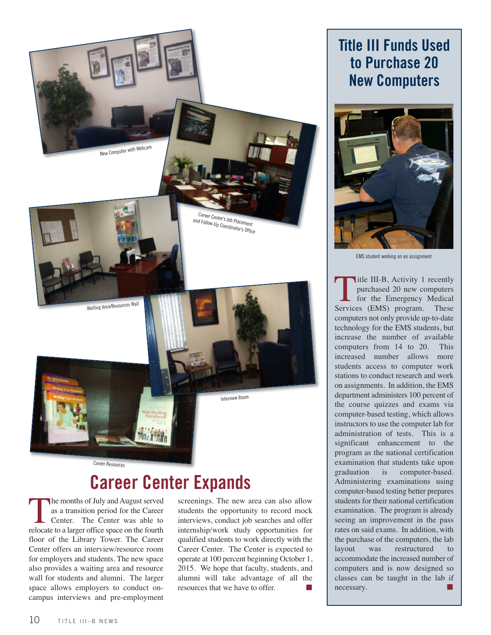

## **Career Center Expands**

The months of July and August served<br>as a transition period for the Career<br>Center. The Center was able to<br>relocate to a larger office space on the fourth as a transition period for the Career Center. The Center was able to relocate to a larger office space on the fourth floor of the Library Tower. The Career Center offers an interview/resource room for employers and students. The new space also provides a waiting area and resource wall for students and alumni. The larger space allows employers to conduct oncampus interviews and pre-employment

screenings. The new area can also allow students the opportunity to record mock interviews, conduct job searches and offer internship/work study opportunities for qualified students to work directly with the Career Center. The Center is expected to operate at 100 percent beginning October 1, 2015. We hope that faculty, students, and alumni will take advantage of all the resources that we have to offer. **■**

#### **Title III Funds Used to Purchase 20 New Computers**



EMS student working on an assignment

Title III-B, Activity 1 recently purchased 20 new computers<br>for the Emergency Medical<br>Services (EMS) program. These purchased 20 new computers for the Emergency Medical computers not only provide up-to-date technology for the EMS students, but increase the number of available computers from 14 to 20. This increased number allows more students access to computer work stations to conduct research and work on assignments. In addition, the EMS department administers 100 percent of the course quizzes and exams via computer-based testing, which allows instructors to use the computer lab for administration of tests. This is a significant enhancement to the program as the national certification examination that students take upon graduation is computer-based. Administering examinations using computer-based testing better prepares students for their national certification examination. The program is already seeing an improvement in the pass rates on said exams. In addition, with the purchase of the computers, the lab layout was restructured to accommodate the increased number of computers and is now designed so classes can be taught in the lab if  $n$ ecessary.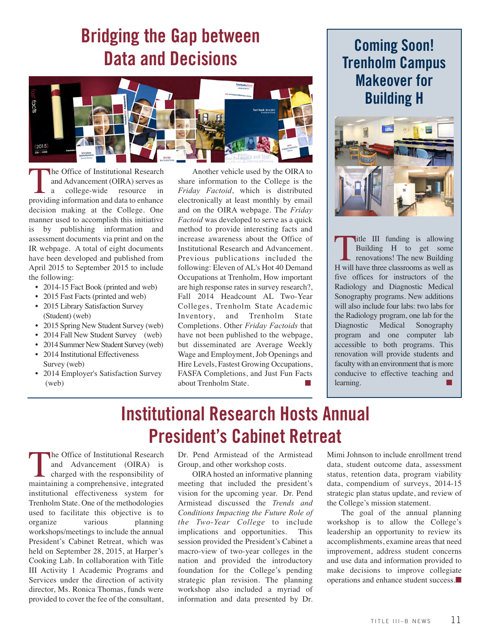## **Bridging the Gap between Data and Decisions**



The Office of Institutional Research<br>and Advancement (OIRA) serves as<br>a college-wide resource in<br>providing information and data to enhance and Advancement (OIRA) serves as a college-wide resource in providing information and data to enhance decision making at the College. One manner used to accomplish this initiative is by publishing information and assessment documents via print and on the IR webpage. A total of eight documents have been developed and published from April 2015 to September 2015 to include the following:

- 2014-15 Fact Book (printed and web)
- 2015 Fast Facts (printed and web)
- 2015 Library Satisfaction Survey (Student) (web)
- 2015 Spring New Student Survey (web)
- 2014 Fall New Student Survey (web)
- 2014 Summer New Student Survey (web) • 2014 Institutional Effectiveness
- Survey (web)
- 2014 Employer's Satisfaction Survey (web)

Another vehicle used by the OIRA to share information to the College is the *Friday Factoid*, which is distributed electronically at least monthly by email and on the OIRA webpage. The *Friday Factoid* was developed to serve as a quick method to provide interesting facts and increase awareness about the Office of Institutional Research and Advancement. Previous publications included the following: Eleven of AL's Hot 40 Demand Occupations at Trenholm, How important are high response rates in survey research?, Fall 2014 Headcount AL Two-Year Colleges, Trenholm State Academic Inventory, and Trenholm State Completions. Other *Friday Factoids* that have not been published to the webpage, but disseminated are Average Weekly Wage and Employment, Job Openings and Hire Levels, Fastest Growing Occupations, FASFA Completions, and Just Fun Facts about Trenholm State. **■**

#### **Coming Soon! Trenholm Campus Makeover for Building H**



Title III funding is allowing<br>Building H to get some<br>renovations! The new Building<br>H will have three classrooms as well as Building H to get some renovations! The new Building five offices for instructors of the Radiology and Diagnostic Medical Sonography programs. New additions will also include four labs: two labs for the Radiology program, one lab for the Diagnostic Medical Sonography program and one computer lab accessible to both programs. This renovation will provide students and faculty with an environment that is more conducive to effective teaching and learning.

# **Institutional Research Hosts Annual President's Cabinet Retreat**

The Office of Institutional Research<br>and Advancement (OIRA) is<br>charged with the responsibility of<br>maintaining a comprehensive, integrated and Advancement (OIRA) is charged with the responsibility of maintaining a comprehensive, integrated institutional effectiveness system for Trenholm State. One of the methodologies used to facilitate this objective is to organize various planning workshops/meetings to include the annual President's Cabinet Retreat, which was held on September 28, 2015, at Harper's Cooking Lab. In collaboration with Title III Activity 1 Academic Programs and Services under the direction of activity director, Ms. Ronica Thomas, funds were provided to cover the fee of the consultant,

Dr. Pend Armistead of the Armistead Group, and other workshop costs.

OIRA hosted an informative planning meeting that included the president's vision for the upcoming year. Dr. Pend Armistead discussed the *Trends and Conditions Impacting the Future Role of the Two-Year College* to include implications and opportunities. This session provided the President's Cabinet a macro-view of two-year colleges in the nation and provided the introductory foundation for the College's pending strategic plan revision. The planning workshop also included a myriad of information and data presented by Dr.

Mimi Johnson to include enrollment trend data, student outcome data, assessment status, retention data, program viability data, compendium of surveys, 2014-15 strategic plan status update, and review of the College's mission statement.

The goal of the annual planning workshop is to allow the College's leadership an opportunity to review its accomplishments, examine areas that need improvement, address student concerns and use data and information provided to make decisions to improve collegiate operations and enhance student success.**■**